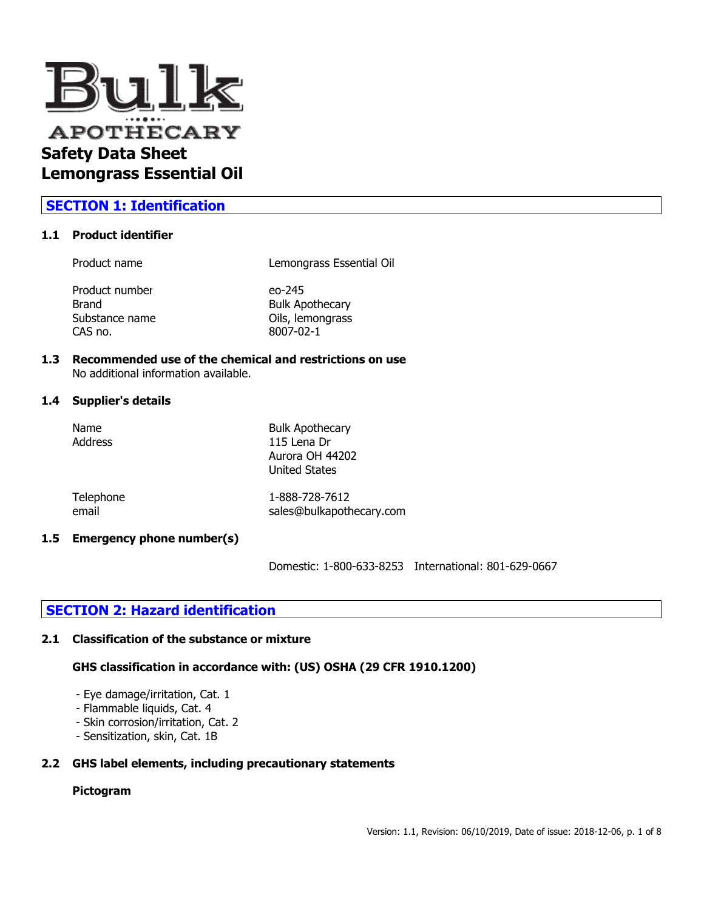

## **SECTION 1: Identification**

#### **1.1 Product identifier**

Product name Lemongrass Essential Oil

Product number eo-245 Brand Bulk Apothecary Substance name **Oils**, lemongrass CAS no. 8007-02-1

# **1.3 Recommended use of the chemical and restrictions on use**

No additional information available.

### **1.4 Supplier's details**

| Name<br><b>Address</b> | <b>Bulk Apothecary</b><br>115 Lena Dr<br>Aurora OH 44202<br><b>United States</b> |
|------------------------|----------------------------------------------------------------------------------|
| Telephone              | 1-888-728-7612                                                                   |
| email                  | sales@bulkapothecary.com                                                         |

### **1.5 Emergency phone number(s)**

Domestic: 1-800-633-8253 International: 801-629-0667

## **SECTION 2: Hazard identification**

### **2.1 Classification of the substance or mixture**

### **GHS classification in accordance with: (US) OSHA (29 CFR 1910.1200)**

- Eye damage/irritation, Cat. 1
- Flammable liquids, Cat. 4
- Skin corrosion/irritation, Cat. 2
- Sensitization, skin, Cat. 1B

### **2.2 GHS label elements, including precautionary statements**

## **Pictogram**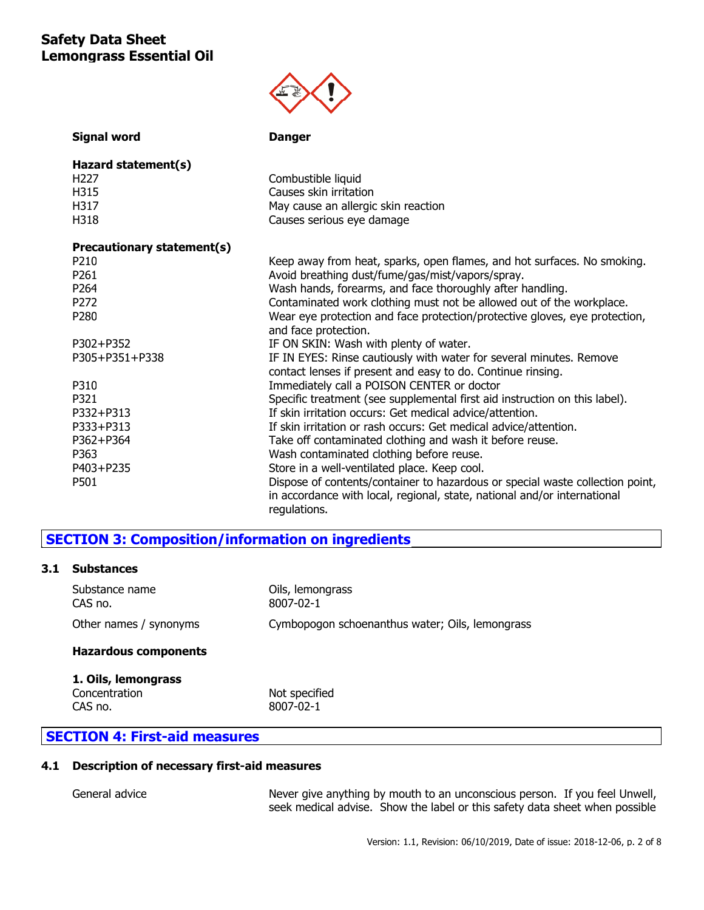

| <b>Signal word</b>         | <b>Danger</b>                                                                 |
|----------------------------|-------------------------------------------------------------------------------|
| Hazard statement(s)        |                                                                               |
| H <sub>227</sub>           | Combustible liquid                                                            |
| H315                       | Causes skin irritation                                                        |
| H317                       | May cause an allergic skin reaction                                           |
| H318                       | Causes serious eye damage                                                     |
| Precautionary statement(s) |                                                                               |
| P210                       | Keep away from heat, sparks, open flames, and hot surfaces. No smoking.       |
| P261                       | Avoid breathing dust/fume/gas/mist/vapors/spray.                              |
| P264                       | Wash hands, forearms, and face thoroughly after handling.                     |
| P272                       | Contaminated work clothing must not be allowed out of the workplace.          |
| P280                       | Wear eye protection and face protection/protective gloves, eye protection,    |
|                            | and face protection.                                                          |
| P302+P352                  | IF ON SKIN: Wash with plenty of water.                                        |
| P305+P351+P338             | IF IN EYES: Rinse cautiously with water for several minutes. Remove           |
|                            | contact lenses if present and easy to do. Continue rinsing.                   |
| P310                       | Immediately call a POISON CENTER or doctor                                    |
| P321                       | Specific treatment (see supplemental first aid instruction on this label).    |
| P332+P313                  | If skin irritation occurs: Get medical advice/attention.                      |
| P333+P313                  | If skin irritation or rash occurs: Get medical advice/attention.              |
| P362+P364                  | Take off contaminated clothing and wash it before reuse.                      |
| P363                       | Wash contaminated clothing before reuse.                                      |
| P403+P235                  | Store in a well-ventilated place. Keep cool.                                  |
| P501                       | Dispose of contents/container to hazardous or special waste collection point, |
|                            | in accordance with local, regional, state, national and/or international      |
|                            | regulations.                                                                  |

## **SECTION 3: Composition/information on ingredients**

## **3.1 Substances**

| Hazardous components      |                                                 |
|---------------------------|-------------------------------------------------|
| Other names / synonyms    | Cymbopogon schoenanthus water; Oils, lemongrass |
| Substance name<br>CAS no. | Oils, lemongrass<br>8007-02-1                   |

| 1. Oils, lemongrass |               |
|---------------------|---------------|
| Concentration       | Not specified |
| CAS no.             | 8007-02-1     |

## **SECTION 4: First-aid measures**

### **4.1 Description of necessary first-aid measures**

General advice **Next** Never give anything by mouth to an unconscious person. If you feel Unwell, seek medical advise. Show the label or this safety data sheet when possible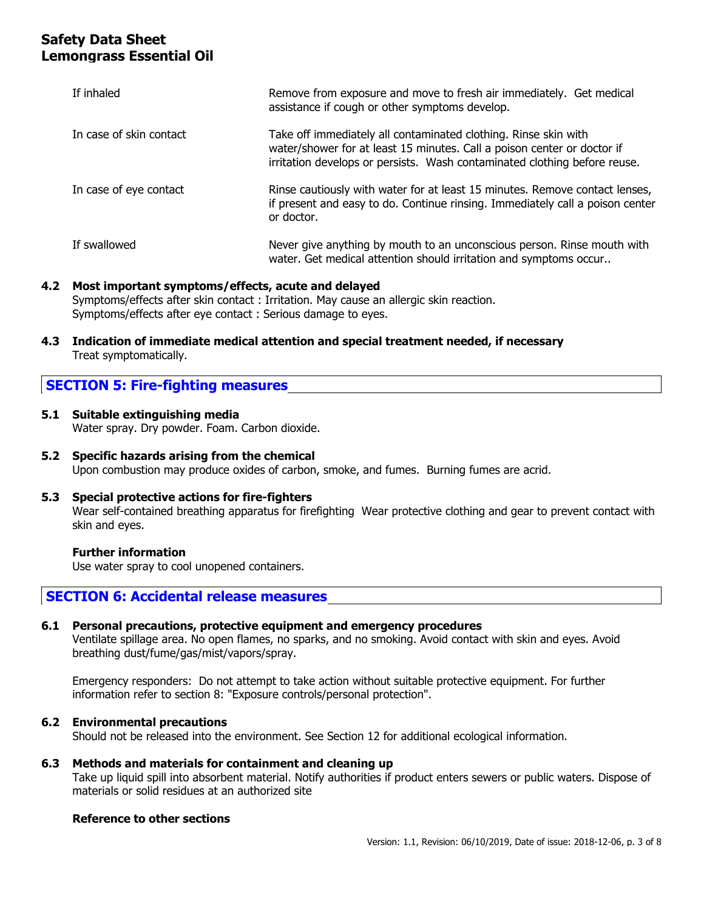| If inhaled              | Remove from exposure and move to fresh air immediately. Get medical<br>assistance if cough or other symptoms develop.                                                                                                   |
|-------------------------|-------------------------------------------------------------------------------------------------------------------------------------------------------------------------------------------------------------------------|
| In case of skin contact | Take off immediately all contaminated clothing. Rinse skin with<br>water/shower for at least 15 minutes. Call a poison center or doctor if<br>irritation develops or persists. Wash contaminated clothing before reuse. |
| In case of eye contact  | Rinse cautiously with water for at least 15 minutes. Remove contact lenses,<br>if present and easy to do. Continue rinsing. Immediately call a poison center<br>or doctor.                                              |
| If swallowed            | Never give anything by mouth to an unconscious person. Rinse mouth with<br>water. Get medical attention should irritation and symptoms occur                                                                            |

### **4.2 Most important symptoms/effects, acute and delayed**

Symptoms/effects after skin contact : Irritation. May cause an allergic skin reaction. Symptoms/effects after eye contact : Serious damage to eyes.

**4.3 Indication of immediate medical attention and special treatment needed, if necessary** Treat symptomatically.

## **SECTION 5: Fire-fighting measures**

**5.1 Suitable extinguishing media**

Water spray. Dry powder. Foam. Carbon dioxide.

**5.2 Specific hazards arising from the chemical** Upon combustion may produce oxides of carbon, smoke, and fumes. Burning fumes are acrid.

### **5.3 Special protective actions for fire-fighters**

Wear self-contained breathing apparatus for firefighting Wear protective clothing and gear to prevent contact with skin and eyes.

### **Further information**

Use water spray to cool unopened containers.

### **SECTION 6: Accidental release measures**

## **6.1 Personal precautions, protective equipment and emergency procedures**

Ventilate spillage area. No open flames, no sparks, and no smoking. Avoid contact with skin and eyes. Avoid breathing dust/fume/gas/mist/vapors/spray.

Emergency responders: Do not attempt to take action without suitable protective equipment. For further information refer to section 8: "Exposure controls/personal protection".

### **6.2 Environmental precautions**

Should not be released into the environment. See Section 12 for additional ecological information.

### **6.3 Methods and materials for containment and cleaning up**

Take up liquid spill into absorbent material. Notify authorities if product enters sewers or public waters. Dispose of materials or solid residues at an authorized site

### **Reference to other sections**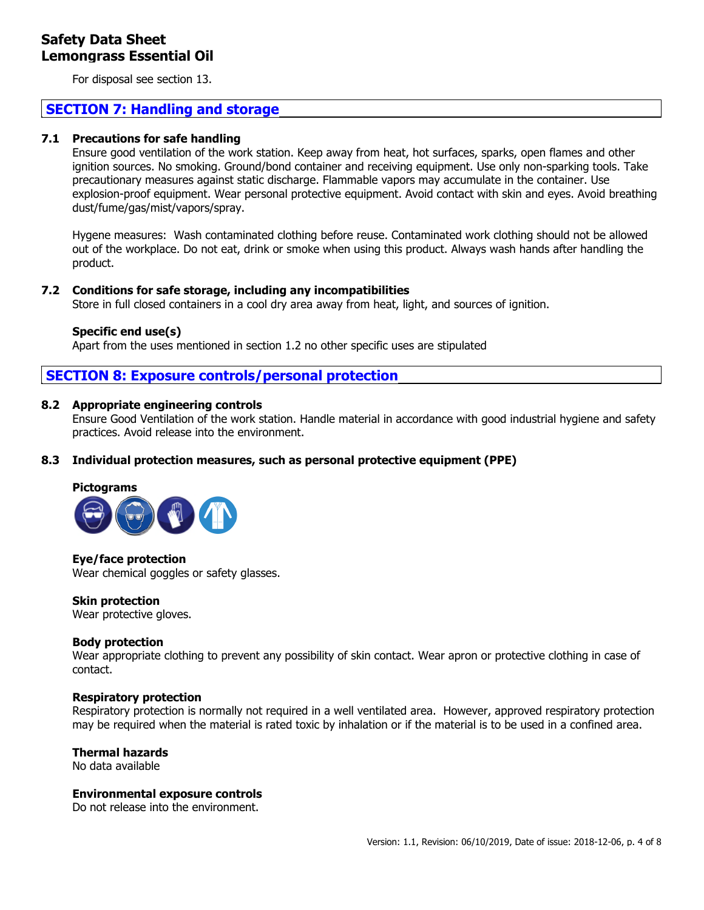For disposal see section 13.

## **SECTION 7: Handling and storage**

### **7.1 Precautions for safe handling**

Ensure good ventilation of the work station. Keep away from heat, hot surfaces, sparks, open flames and other ignition sources. No smoking. Ground/bond container and receiving equipment. Use only non-sparking tools. Take precautionary measures against static discharge. Flammable vapors may accumulate in the container. Use explosion-proof equipment. Wear personal protective equipment. Avoid contact with skin and eyes. Avoid breathing dust/fume/gas/mist/vapors/spray.

Hygene measures: Wash contaminated clothing before reuse. Contaminated work clothing should not be allowed out of the workplace. Do not eat, drink or smoke when using this product. Always wash hands after handling the product.

### **7.2 Conditions for safe storage, including any incompatibilities**

Store in full closed containers in a cool dry area away from heat, light, and sources of ignition.

### **Specific end use(s)**

Apart from the uses mentioned in section 1.2 no other specific uses are stipulated

## **SECTION 8: Exposure controls/personal protection**

### **8.2 Appropriate engineering controls**

Ensure Good Ventilation of the work station. Handle material in accordance with good industrial hygiene and safety practices. Avoid release into the environment.

### **8.3 Individual protection measures, such as personal protective equipment (PPE)**

### **Pictograms**



**Eye/face protection** Wear chemical goggles or safety glasses.

**Skin protection**

Wear protective gloves.

### **Body protection**

Wear appropriate clothing to prevent any possibility of skin contact. Wear apron or protective clothing in case of contact.

### **Respiratory protection**

Respiratory protection is normally not required in a well ventilated area. However, approved respiratory protection may be required when the material is rated toxic by inhalation or if the material is to be used in a confined area.

### **Thermal hazards**

No data available

### **Environmental exposure controls**

Do not release into the environment.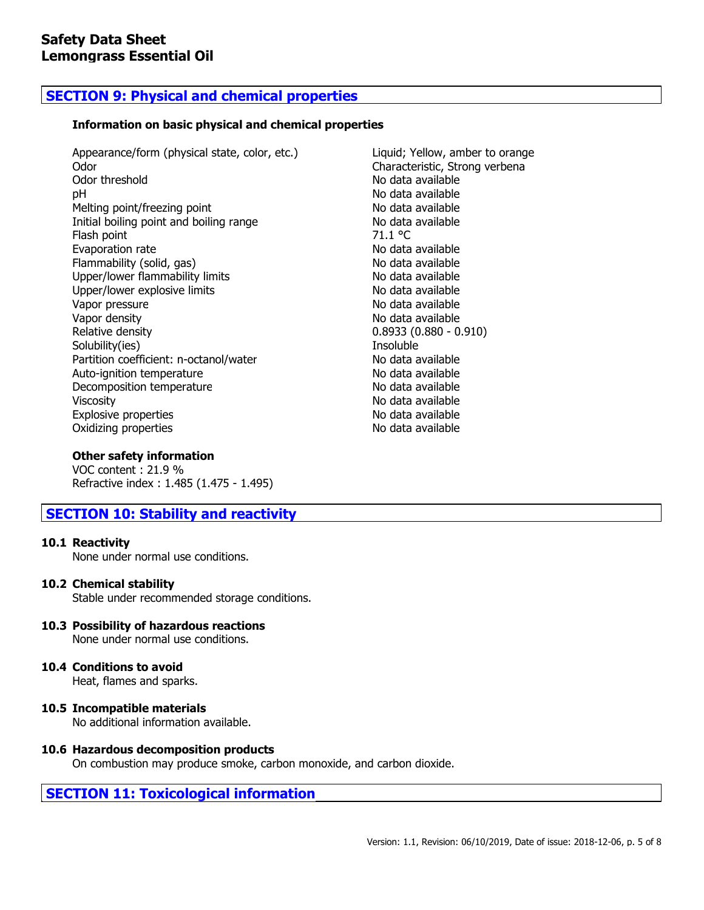## **SECTION 9: Physical and chemical properties**

### **Information on basic physical and chemical properties**

Appearance/form (physical state, color, etc.) Liquid; Yellow, amber to orange Odor Characteristic, Strong verbena Odor threshold **No data available** pH No data available Melting point/freezing point No data available Initial boiling point and boiling range No data available Flash point 71.1 °C Evaporation rate No data available Flammability (solid, gas) No data available Upper/lower flammability limits No data available Upper/lower explosive limits No data available Vapor pressure No data available Vapor density No data available Relative density 0.8933 (0.880 - 0.910) Solubility(ies) and the soluble soluble soluble soluble and the soluble soluble soluble soluble Partition coefficient: n-octanol/water No data available Auto-ignition temperature No data available Decomposition temperature No data available Viscosity **No data available** No data available Explosive properties No data available Oxidizing properties No data available

### **Other safety information**

VOC content : 21.9 % Refractive index : 1.485 (1.475 - 1.495)

## **SECTION 10: Stability and reactivity**

### **10.1 Reactivity**

None under normal use conditions.

### **10.2 Chemical stability**

Stable under recommended storage conditions.

# **10.3 Possibility of hazardous reactions**

None under normal use conditions.

## **10.4 Conditions to avoid**

Heat, flames and sparks.

**10.5 Incompatible materials** No additional information available.

### **10.6 Hazardous decomposition products**

On combustion may produce smoke, carbon monoxide, and carbon dioxide.

## **SECTION 11: Toxicological information**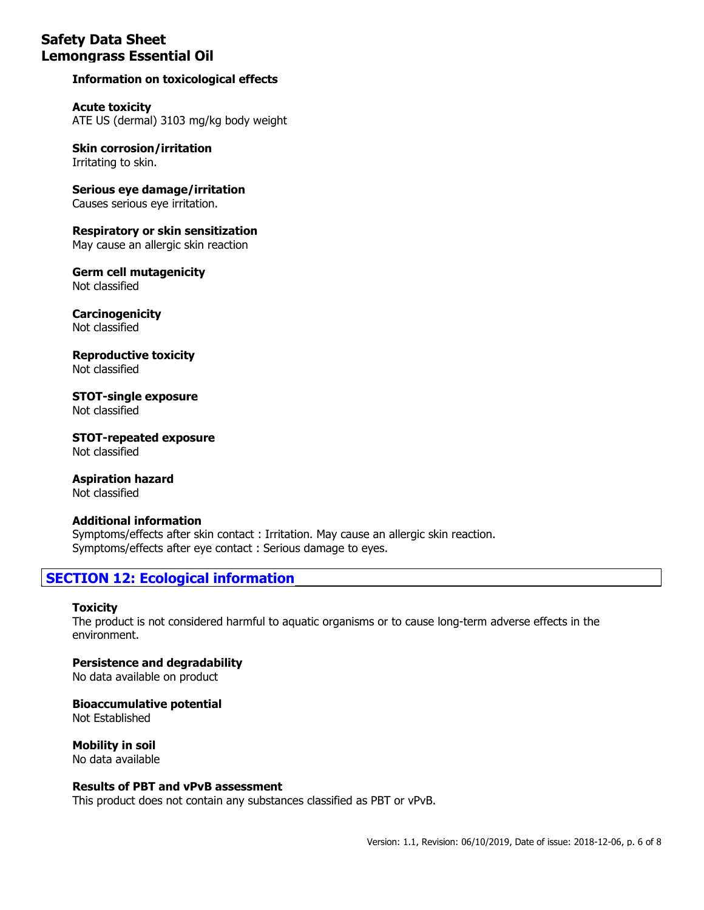## **Information on toxicological effects**

**Acute toxicity** ATE US (dermal) 3103 mg/kg body weight

**Skin corrosion/irritation** Irritating to skin.

**Serious eye damage/irritation** Causes serious eye irritation.

**Respiratory or skin sensitization** May cause an allergic skin reaction

**Germ cell mutagenicity** Not classified

**Carcinogenicity** Not classified

**Reproductive toxicity** Not classified

**STOT-single exposure** Not classified

**STOT-repeated exposure** Not classified

**Aspiration hazard** Not classified

### **Additional information** Symptoms/effects after skin contact : Irritation. May cause an allergic skin reaction. Symptoms/effects after eye contact : Serious damage to eyes.

## **SECTION 12: Ecological information**

### **Toxicity**

The product is not considered harmful to aquatic organisms or to cause long-term adverse effects in the environment.

**Persistence and degradability** No data available on product

### **Bioaccumulative potential**

Not Established

**Mobility in soil** No data available

### **Results of PBT and vPvB assessment**

This product does not contain any substances classified as PBT or vPvB.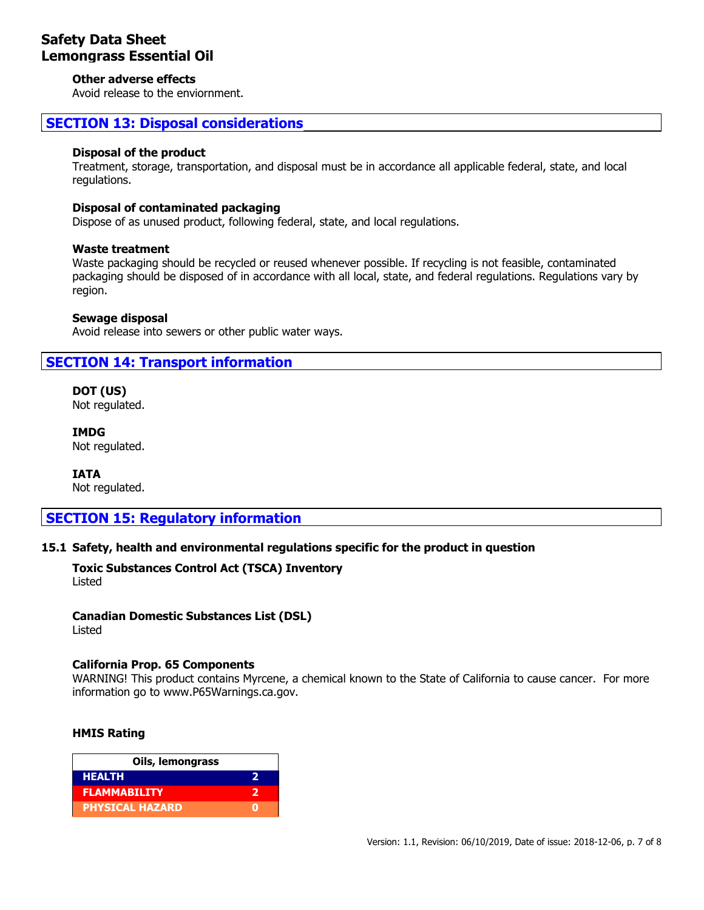### **Other adverse effects**

Avoid release to the enviornment.

## **SECTION 13: Disposal considerations**

### **Disposal of the product**

Treatment, storage, transportation, and disposal must be in accordance all applicable federal, state, and local regulations.

### **Disposal of contaminated packaging**

Dispose of as unused product, following federal, state, and local regulations.

### **Waste treatment**

Waste packaging should be recycled or reused whenever possible. If recycling is not feasible, contaminated packaging should be disposed of in accordance with all local, state, and federal regulations. Regulations vary by region.

### **Sewage disposal**

Avoid release into sewers or other public water ways.

## **SECTION 14: Transport information**

**DOT (US)** Not regulated.

**IMDG** Not regulated.

**IATA** Not regulated.

## **SECTION 15: Regulatory information**

### **15.1 Safety, health and environmental regulations specific for the product in question**

**Toxic Substances Control Act (TSCA) Inventory** Listed

## **Canadian Domestic Substances List (DSL)**

Listed

### **California Prop. 65 Components**

WARNING! This product contains Myrcene, a chemical known to the State of California to cause cancer. For more information go to www.P65Warnings.ca.gov.

### **HMIS Rating**

| Oils, lemongrass       |  |
|------------------------|--|
| <b>HEALTH</b>          |  |
| <b>FLAMMABILITY</b>    |  |
| <b>PHYSICAL HAZARD</b> |  |